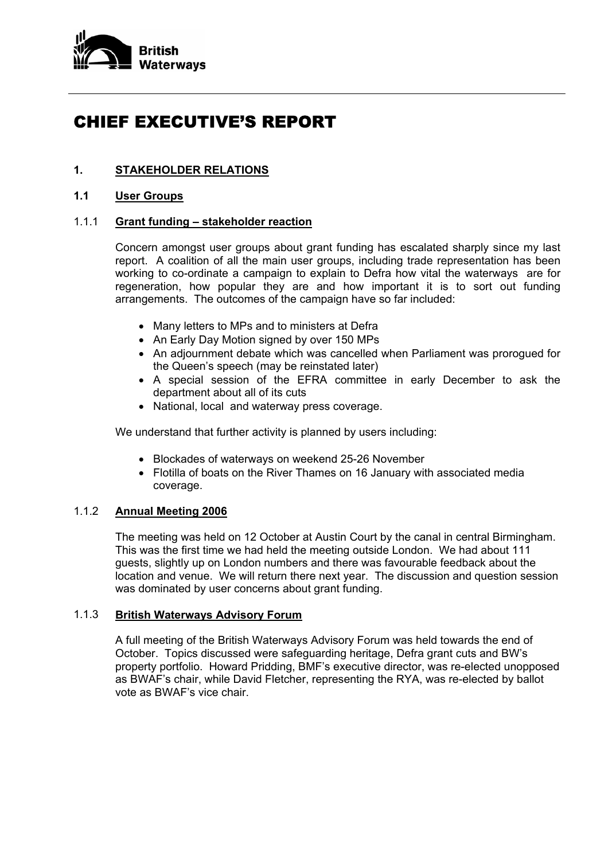

# CHIEF EXECUTIVE'S REPORT

## **1. STAKEHOLDER RELATIONS**

### **1.1 User Groups**

## 1.1.1 **Grant funding – stakeholder reaction**

Concern amongst user groups about grant funding has escalated sharply since my last report. A coalition of all the main user groups, including trade representation has been working to co-ordinate a campaign to explain to Defra how vital the waterways are for regeneration, how popular they are and how important it is to sort out funding arrangements. The outcomes of the campaign have so far included:

- Many letters to MPs and to ministers at Defra
- An Early Day Motion signed by over 150 MPs
- An adjournment debate which was cancelled when Parliament was prorogued for the Queen's speech (may be reinstated later)
- A special session of the EFRA committee in early December to ask the department about all of its cuts
- National, local and waterway press coverage.

We understand that further activity is planned by users including:

- Blockades of waterways on weekend 25-26 November
- Flotilla of boats on the River Thames on 16 January with associated media coverage.

## 1.1.2 **Annual Meeting 2006**

 The meeting was held on 12 October at Austin Court by the canal in central Birmingham. This was the first time we had held the meeting outside London. We had about 111 guests, slightly up on London numbers and there was favourable feedback about the location and venue. We will return there next year. The discussion and question session was dominated by user concerns about grant funding.

#### 1.1.3 **British Waterways Advisory Forum**

 A full meeting of the British Waterways Advisory Forum was held towards the end of October. Topics discussed were safeguarding heritage, Defra grant cuts and BW's property portfolio. Howard Pridding, BMF's executive director, was re-elected unopposed as BWAF's chair, while David Fletcher, representing the RYA, was re-elected by ballot vote as BWAF's vice chair.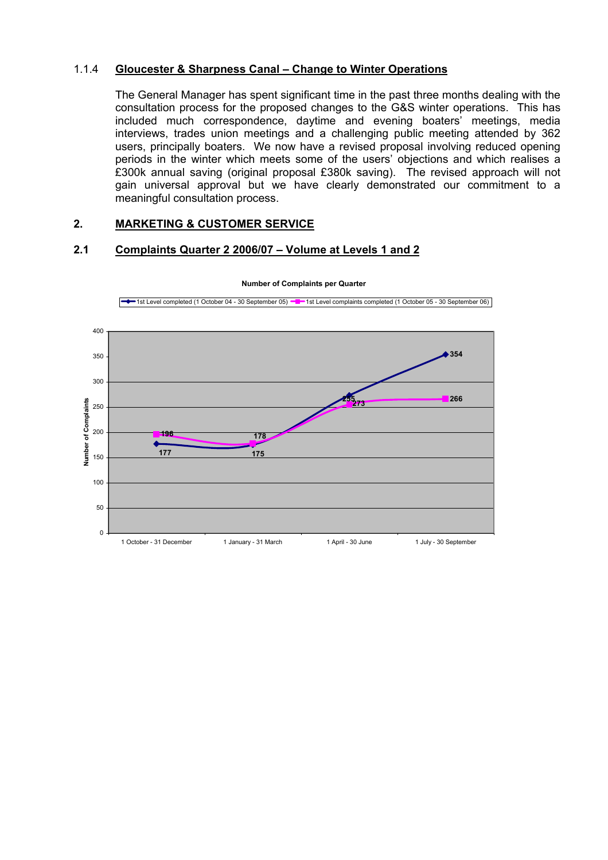#### 1.1.4 **Gloucester & Sharpness Canal – Change to Winter Operations**

The General Manager has spent significant time in the past three months dealing with the consultation process for the proposed changes to the G&S winter operations. This has included much correspondence, daytime and evening boaters' meetings, media interviews, trades union meetings and a challenging public meeting attended by 362 users, principally boaters. We now have a revised proposal involving reduced opening periods in the winter which meets some of the users' objections and which realises a £300k annual saving (original proposal £380k saving). The revised approach will not gain universal approval but we have clearly demonstrated our commitment to a meaningful consultation process.

## **2. MARKETING & CUSTOMER SERVICE**

#### **2.1 Complaints Quarter 2 2006/07 – Volume at Levels 1 and 2**



#### **Number of Complaints per Quarter**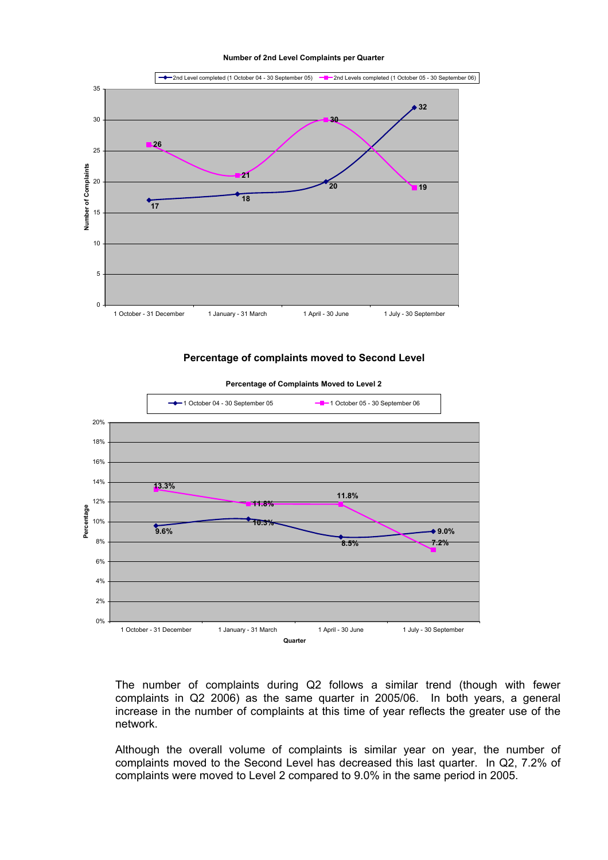**Number of 2nd Level Complaints per Quarter**



**Percentage of complaints moved to Second Level** 



**Percentage of Complaints Moved to Level 2**

The number of complaints during Q2 follows a similar trend (though with fewer complaints in Q2 2006) as the same quarter in 2005/06. In both years, a general increase in the number of complaints at this time of year reflects the greater use of the network.

Although the overall volume of complaints is similar year on year, the number of complaints moved to the Second Level has decreased this last quarter. In Q2, 7.2% of complaints were moved to Level 2 compared to 9.0% in the same period in 2005.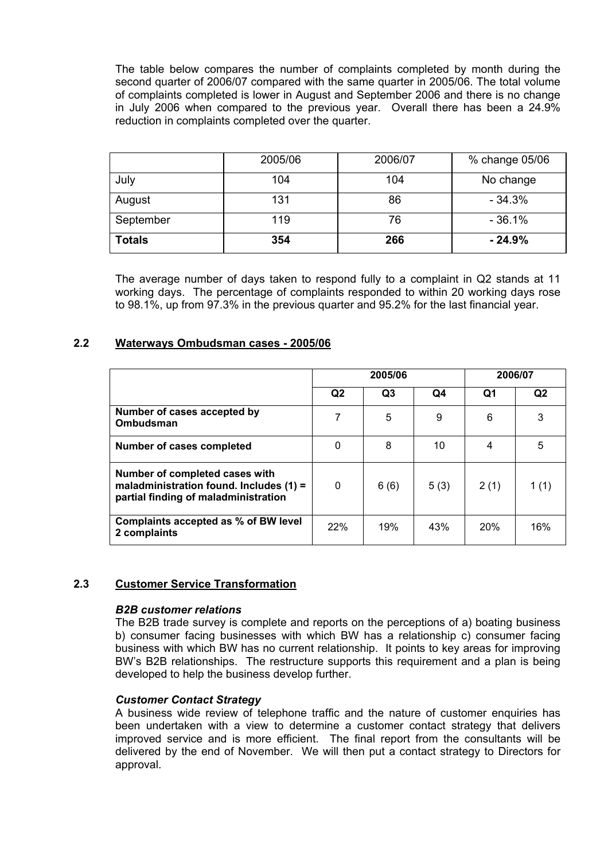The table below compares the number of complaints completed by month during the second quarter of 2006/07 compared with the same quarter in 2005/06. The total volume of complaints completed is lower in August and September 2006 and there is no change in July 2006 when compared to the previous year. Overall there has been a 24.9% reduction in complaints completed over the quarter.

|               | 2005/06 | 2006/07 | % change 05/06 |
|---------------|---------|---------|----------------|
| July          | 104     | 104     | No change      |
| August        | 131     | 86      | $-34.3%$       |
| September     | 119     | 76      | $-36.1%$       |
| <b>Totals</b> | 354     | 266     | $-24.9%$       |

The average number of days taken to respond fully to a complaint in Q2 stands at 11 working days. The percentage of complaints responded to within 20 working days rose to 98.1%, up from 97.3% in the previous quarter and 95.2% for the last financial year.

#### **2.2 Waterways Ombudsman cases - 2005/06**

|                                                                                                                     | 2005/06        |                |      | 2006/07 |                |
|---------------------------------------------------------------------------------------------------------------------|----------------|----------------|------|---------|----------------|
|                                                                                                                     | Q <sub>2</sub> | Q <sub>3</sub> | Q4   | Q1      | Q <sub>2</sub> |
| Number of cases accepted by<br>Ombudsman                                                                            |                | 5              | 9    | 6       | 3              |
| Number of cases completed                                                                                           | 0              | 8              | 10   | 4       | 5              |
| Number of completed cases with<br>maladministration found. Includes $(1)$ =<br>partial finding of maladministration | 0              | 6(6)           | 5(3) | 2(1)    | 1(1)           |
| Complaints accepted as % of BW level<br>2 complaints                                                                | 22%            | 19%            | 43%  | 20%     | 16%            |

#### **2.3 Customer Service Transformation**

#### *B2B customer relations*

The B2B trade survey is complete and reports on the perceptions of a) boating business b) consumer facing businesses with which BW has a relationship c) consumer facing business with which BW has no current relationship. It points to key areas for improving BW's B2B relationships. The restructure supports this requirement and a plan is being developed to help the business develop further.

#### *Customer Contact Strategy*

A business wide review of telephone traffic and the nature of customer enquiries has been undertaken with a view to determine a customer contact strategy that delivers improved service and is more efficient. The final report from the consultants will be delivered by the end of November. We will then put a contact strategy to Directors for approval.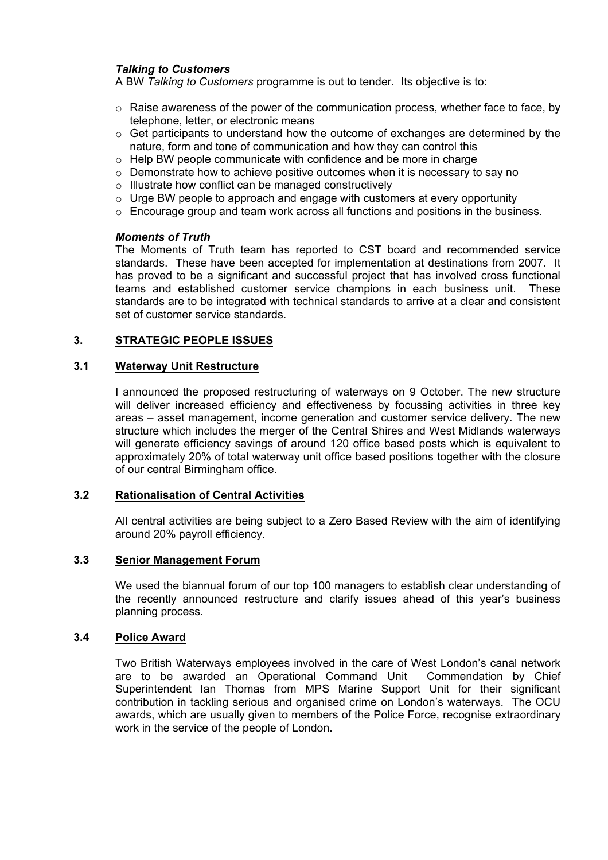## *Talking to Customers*

A BW *Talking to Customers* programme is out to tender. Its objective is to:

- $\circ$  Raise awareness of the power of the communication process, whether face to face, by telephone, letter, or electronic means
- $\circ$  Get participants to understand how the outcome of exchanges are determined by the nature, form and tone of communication and how they can control this
- $\circ$  Help BW people communicate with confidence and be more in charge
- $\circ$  Demonstrate how to achieve positive outcomes when it is necessary to say no
- o Illustrate how conflict can be managed constructively
- $\circ$  Urge BW people to approach and engage with customers at every opportunity
- $\circ$  Encourage group and team work across all functions and positions in the business.

#### *Moments of Truth*

The Moments of Truth team has reported to CST board and recommended service standards. These have been accepted for implementation at destinations from 2007. It has proved to be a significant and successful project that has involved cross functional teams and established customer service champions in each business unit. These standards are to be integrated with technical standards to arrive at a clear and consistent set of customer service standards.

## **3. STRATEGIC PEOPLE ISSUES**

## **3.1 Waterway Unit Restructure**

I announced the proposed restructuring of waterways on 9 October. The new structure will deliver increased efficiency and effectiveness by focussing activities in three key areas – asset management, income generation and customer service delivery. The new structure which includes the merger of the Central Shires and West Midlands waterways will generate efficiency savings of around 120 office based posts which is equivalent to approximately 20% of total waterway unit office based positions together with the closure of our central Birmingham office.

## **3.2 Rationalisation of Central Activities**

 All central activities are being subject to a Zero Based Review with the aim of identifying around 20% payroll efficiency.

#### **3.3 Senior Management Forum**

We used the biannual forum of our top 100 managers to establish clear understanding of the recently announced restructure and clarify issues ahead of this year's business planning process.

#### **3.4 Police Award**

Two British Waterways employees involved in the care of West London's canal network are to be awarded an Operational Command Unit Commendation by Chief Superintendent Ian Thomas from MPS Marine Support Unit for their significant contribution in tackling serious and organised crime on London's waterways. The OCU awards, which are usually given to members of the Police Force, recognise extraordinary work in the service of the people of London.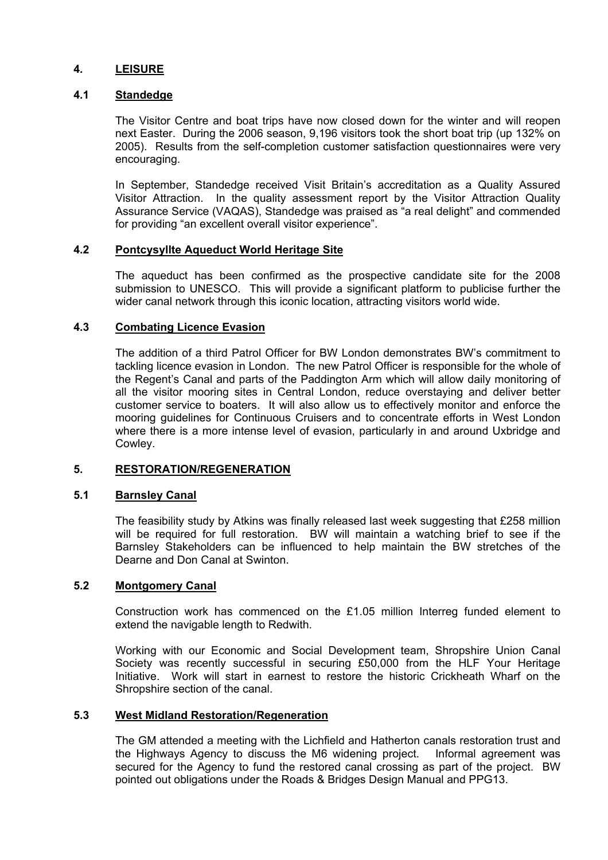## **4. LEISURE**

#### **4.1 Standedge**

The Visitor Centre and boat trips have now closed down for the winter and will reopen next Easter. During the 2006 season, 9,196 visitors took the short boat trip (up 132% on 2005). Results from the self-completion customer satisfaction questionnaires were very encouraging.

In September, Standedge received Visit Britain's accreditation as a Quality Assured Visitor Attraction. In the quality assessment report by the Visitor Attraction Quality Assurance Service (VAQAS), Standedge was praised as "a real delight" and commended for providing "an excellent overall visitor experience".

#### **4.2 Pontcysyllte Aqueduct World Heritage Site**

The aqueduct has been confirmed as the prospective candidate site for the 2008 submission to UNESCO. This will provide a significant platform to publicise further the wider canal network through this iconic location, attracting visitors world wide.

#### **4.3 Combating Licence Evasion**

The addition of a third Patrol Officer for BW London demonstrates BW's commitment to tackling licence evasion in London. The new Patrol Officer is responsible for the whole of the Regent's Canal and parts of the Paddington Arm which will allow daily monitoring of all the visitor mooring sites in Central London, reduce overstaying and deliver better customer service to boaters. It will also allow us to effectively monitor and enforce the mooring guidelines for Continuous Cruisers and to concentrate efforts in West London where there is a more intense level of evasion, particularly in and around Uxbridge and Cowley.

## **5. RESTORATION/REGENERATION**

#### **5.1 Barnsley Canal**

The feasibility study by Atkins was finally released last week suggesting that £258 million will be required for full restoration. BW will maintain a watching brief to see if the Barnsley Stakeholders can be influenced to help maintain the BW stretches of the Dearne and Don Canal at Swinton.

#### **5.2 Montgomery Canal**

Construction work has commenced on the £1.05 million Interreg funded element to extend the navigable length to Redwith.

Working with our Economic and Social Development team, Shropshire Union Canal Society was recently successful in securing £50,000 from the HLF Your Heritage Initiative. Work will start in earnest to restore the historic Crickheath Wharf on the Shropshire section of the canal.

#### **5.3 West Midland Restoration/Regeneration**

The GM attended a meeting with the Lichfield and Hatherton canals restoration trust and the Highways Agency to discuss the M6 widening project. Informal agreement was secured for the Agency to fund the restored canal crossing as part of the project. BW pointed out obligations under the Roads & Bridges Design Manual and PPG13.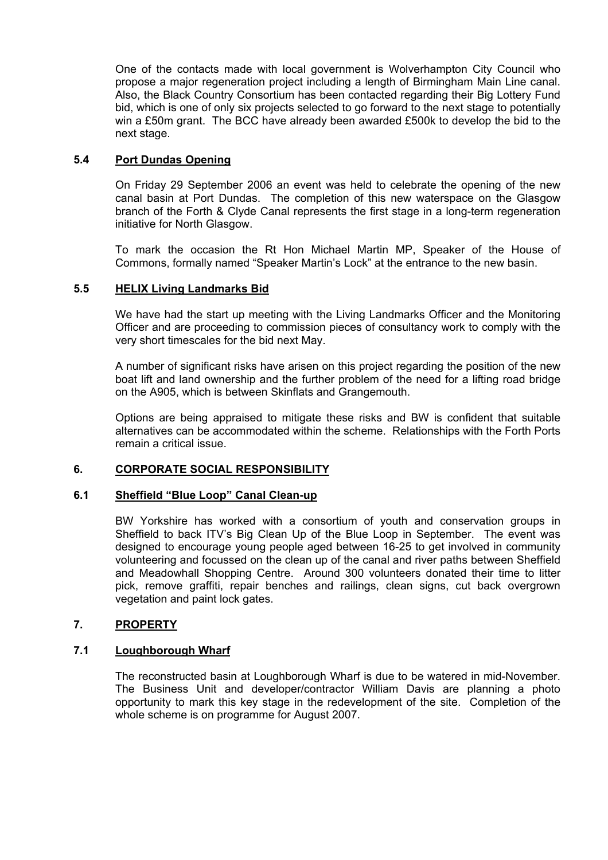One of the contacts made with local government is Wolverhampton City Council who propose a major regeneration project including a length of Birmingham Main Line canal. Also, the Black Country Consortium has been contacted regarding their Big Lottery Fund bid, which is one of only six projects selected to go forward to the next stage to potentially win a £50m grant. The BCC have already been awarded £500k to develop the bid to the next stage.

## **5.4 Port Dundas Opening**

 On Friday 29 September 2006 an event was held to celebrate the opening of the new canal basin at Port Dundas. The completion of this new waterspace on the Glasgow branch of the Forth & Clyde Canal represents the first stage in a long-term regeneration initiative for North Glasgow.

 To mark the occasion the Rt Hon Michael Martin MP, Speaker of the House of Commons, formally named "Speaker Martin's Lock" at the entrance to the new basin.

## **5.5 HELIX Living Landmarks Bid**

 We have had the start up meeting with the Living Landmarks Officer and the Monitoring Officer and are proceeding to commission pieces of consultancy work to comply with the very short timescales for the bid next May.

 A number of significant risks have arisen on this project regarding the position of the new boat lift and land ownership and the further problem of the need for a lifting road bridge on the A905, which is between Skinflats and Grangemouth.

 Options are being appraised to mitigate these risks and BW is confident that suitable alternatives can be accommodated within the scheme. Relationships with the Forth Ports remain a critical issue.

## **6. CORPORATE SOCIAL RESPONSIBILITY**

#### **6.1 Sheffield "Blue Loop" Canal Clean-up**

BW Yorkshire has worked with a consortium of youth and conservation groups in Sheffield to back ITV's Big Clean Up of the Blue Loop in September. The event was designed to encourage young people aged between 16-25 to get involved in community volunteering and focussed on the clean up of the canal and river paths between Sheffield and Meadowhall Shopping Centre. Around 300 volunteers donated their time to litter pick, remove graffiti, repair benches and railings, clean signs, cut back overgrown vegetation and paint lock gates.

## **7. PROPERTY**

## **7.1 Loughborough Wharf**

The reconstructed basin at Loughborough Wharf is due to be watered in mid-November. The Business Unit and developer/contractor William Davis are planning a photo opportunity to mark this key stage in the redevelopment of the site. Completion of the whole scheme is on programme for August 2007.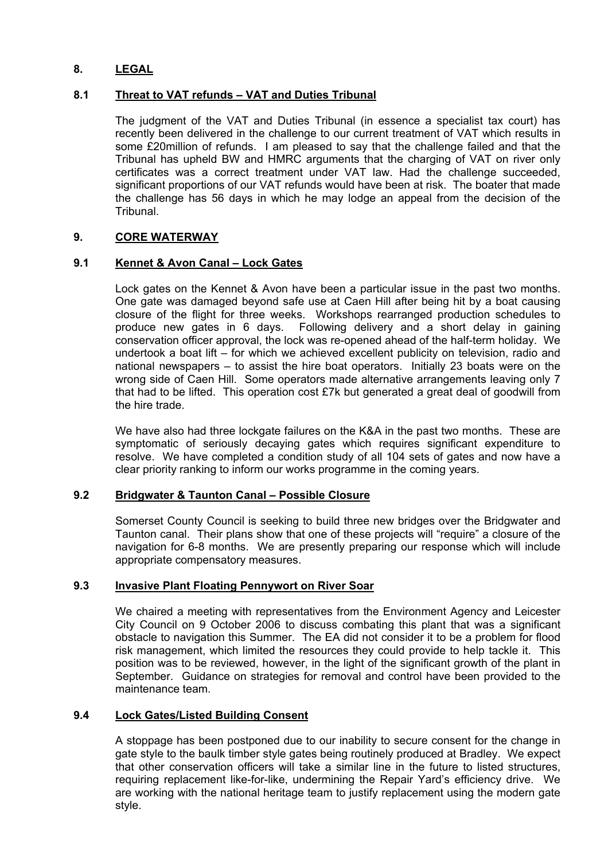## **8. LEGAL**

## **8.1 Threat to VAT refunds – VAT and Duties Tribunal**

The judgment of the VAT and Duties Tribunal (in essence a specialist tax court) has recently been delivered in the challenge to our current treatment of VAT which results in some £20million of refunds. I am pleased to say that the challenge failed and that the Tribunal has upheld BW and HMRC arguments that the charging of VAT on river only certificates was a correct treatment under VAT law. Had the challenge succeeded, significant proportions of our VAT refunds would have been at risk. The boater that made the challenge has 56 days in which he may lodge an appeal from the decision of the Tribunal.

## **9. CORE WATERWAY**

## **9.1 Kennet & Avon Canal – Lock Gates**

Lock gates on the Kennet & Avon have been a particular issue in the past two months. One gate was damaged beyond safe use at Caen Hill after being hit by a boat causing closure of the flight for three weeks. Workshops rearranged production schedules to produce new gates in 6 days. Following delivery and a short delay in gaining conservation officer approval, the lock was re-opened ahead of the half-term holiday. We undertook a boat lift – for which we achieved excellent publicity on television, radio and national newspapers – to assist the hire boat operators. Initially 23 boats were on the wrong side of Caen Hill. Some operators made alternative arrangements leaving only 7 that had to be lifted. This operation cost £7k but generated a great deal of goodwill from the hire trade.

We have also had three lockgate failures on the K&A in the past two months. These are symptomatic of seriously decaying gates which requires significant expenditure to resolve. We have completed a condition study of all 104 sets of gates and now have a clear priority ranking to inform our works programme in the coming years.

## **9.2 Bridgwater & Taunton Canal – Possible Closure**

Somerset County Council is seeking to build three new bridges over the Bridgwater and Taunton canal. Their plans show that one of these projects will "require" a closure of the navigation for 6-8 months. We are presently preparing our response which will include appropriate compensatory measures.

## **9.3 Invasive Plant Floating Pennywort on River Soar**

We chaired a meeting with representatives from the Environment Agency and Leicester City Council on 9 October 2006 to discuss combating this plant that was a significant obstacle to navigation this Summer. The EA did not consider it to be a problem for flood risk management, which limited the resources they could provide to help tackle it. This position was to be reviewed, however, in the light of the significant growth of the plant in September. Guidance on strategies for removal and control have been provided to the maintenance team.

## **9.4 Lock Gates/Listed Building Consent**

A stoppage has been postponed due to our inability to secure consent for the change in gate style to the baulk timber style gates being routinely produced at Bradley. We expect that other conservation officers will take a similar line in the future to listed structures, requiring replacement like-for-like, undermining the Repair Yard's efficiency drive. We are working with the national heritage team to justify replacement using the modern gate style.